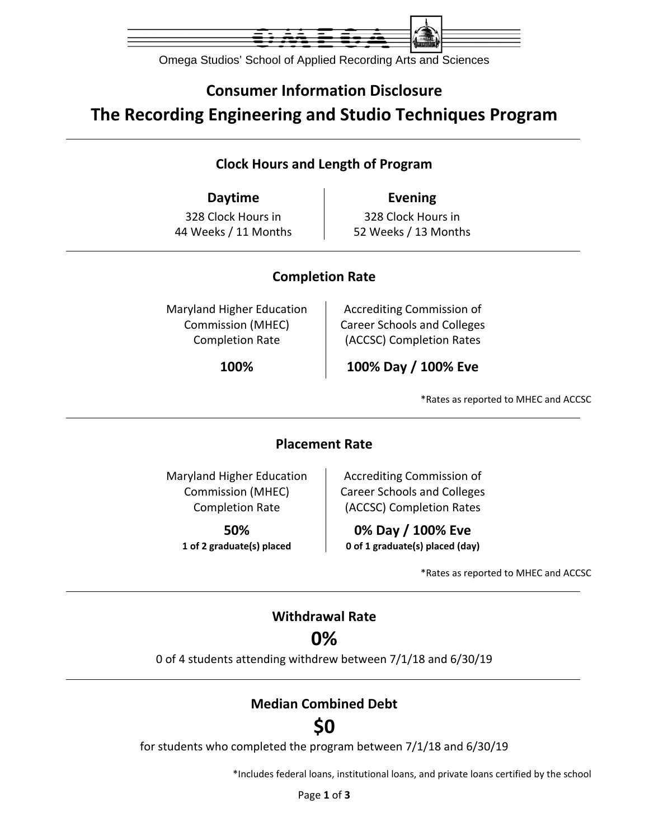

Omega Studios' School of Applied Recording Arts and Sciences

## **Consumer Information Disclosure The Recording Engineering and Studio Techniques Program**

### **Clock Hours and Length of Program**

**Daytime Evening** 328 Clock Hours in 44 Weeks / 11 Months

328 Clock Hours in 52 Weeks / 13 Months

### **Completion Rate**

Maryland Higher Education Commission (MHEC) Completion Rate

Accrediting Commission of Career Schools and Colleges (ACCSC) Completion Rates

**100% 100% Day / 100% Eve**

\*Rates as reported to MHEC and ACCSC

#### **Placement Rate**

Maryland Higher Education Commission (MHEC) Completion Rate

> **50% 1 of 2 graduate(s) placed**

Accrediting Commission of Career Schools and Colleges (ACCSC) Completion Rates

**0% Day / 100% Eve 0 of 1 graduate(s) placed (day)**

\*Rates as reported to MHEC and ACCSC

## **Withdrawal Rate**

## **0%**

0 of 4 students attending withdrew between 7/1/18 and 6/30/19

### **Median Combined Debt**

# **\$0**

for students who completed the program between 7/1/18 and 6/30/19

\*Includes federal loans, institutional loans, and private loans certified by the school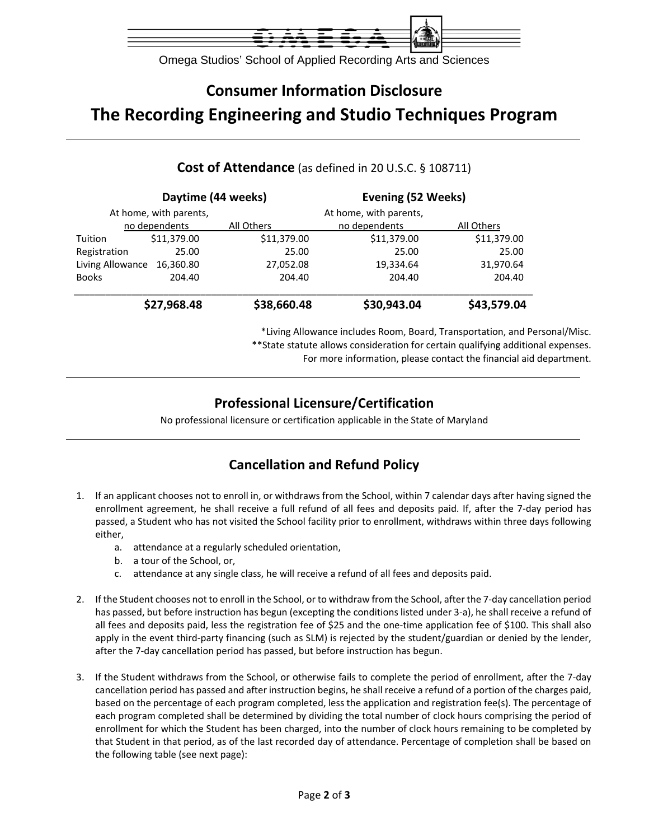

Omega Studios' School of Applied Recording Arts and Sciences

# **Consumer Information Disclosure The Recording Engineering and Studio Techniques Program**

|                        | Daytime (44 weeks) |             | Evening (52 Weeks)     |             |
|------------------------|--------------------|-------------|------------------------|-------------|
| At home, with parents, |                    |             | At home, with parents, |             |
|                        | no dependents      | All Others  | no dependents          | All Others  |
| Tuition                | \$11,379.00        | \$11,379.00 | \$11,379.00            | \$11,379.00 |
| Registration           | 25.00              | 25.00       | 25.00                  | 25.00       |
| Living Allowance       | 16,360.80          | 27,052.08   | 19,334.64              | 31,970.64   |
| <b>Books</b>           | 204.40             | 204.40      | 204.40                 | 204.40      |
|                        | \$27,968.48        | \$38,660.48 | \$30,943.04            | \$43,579.04 |

#### **Cost of Attendance** (as defined in 20 U.S.C. § 108711)

\*Living Allowance includes Room, Board, Transportation, and Personal/Misc. \*\*State statute allows consideration for certain qualifying additional expenses.

For more information, please contact the financial aid department.

### **Professional Licensure/Certification**

No professional licensure or certification applicable in the State of Maryland

### **Cancellation and Refund Policy**

- 1. If an applicant chooses not to enroll in, or withdraws from the School, within 7 calendar days after having signed the enrollment agreement, he shall receive a full refund of all fees and deposits paid. If, after the 7‐day period has passed, a Student who has not visited the School facility prior to enrollment, withdraws within three days following either,
	- a. attendance at a regularly scheduled orientation,
	- b. a tour of the School, or,
	- c. attendance at any single class, he will receive a refund of all fees and deposits paid.
- 2. If the Student chooses not to enroll in the School, or to withdraw from the School, after the 7‐day cancellation period has passed, but before instruction has begun (excepting the conditions listed under 3-a), he shall receive a refund of all fees and deposits paid, less the registration fee of \$25 and the one‐time application fee of \$100. This shall also apply in the event third-party financing (such as SLM) is rejected by the student/guardian or denied by the lender, after the 7‐day cancellation period has passed, but before instruction has begun.
- 3. If the Student withdraws from the School, or otherwise fails to complete the period of enrollment, after the 7‐day cancellation period has passed and after instruction begins, he shall receive a refund of a portion of the charges paid, based on the percentage of each program completed, less the application and registration fee(s). The percentage of each program completed shall be determined by dividing the total number of clock hours comprising the period of enrollment for which the Student has been charged, into the number of clock hours remaining to be completed by that Student in that period, as of the last recorded day of attendance. Percentage of completion shall be based on the following table (see next page):